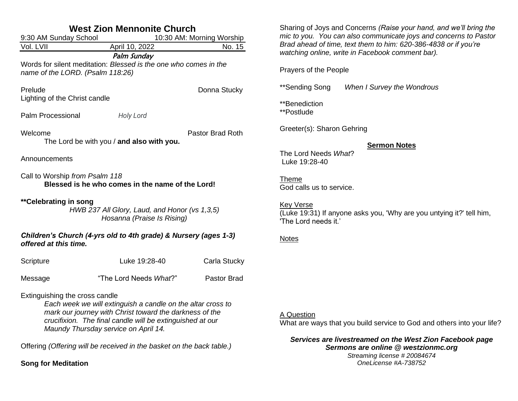| <b>West Zion Mennonite Church</b><br>10:30 AM: Morning Worship<br>9:30 AM Sunday School              |                                                                                                                                                                                                                             |                    |                          |  |
|------------------------------------------------------------------------------------------------------|-----------------------------------------------------------------------------------------------------------------------------------------------------------------------------------------------------------------------------|--------------------|--------------------------|--|
| Vol. LVII                                                                                            | April 10, 2022                                                                                                                                                                                                              | No. 15             | $\mathsf{n}$<br>B        |  |
|                                                                                                      | Palm Sunday                                                                                                                                                                                                                 |                    | W                        |  |
| name of the LORD. (Psalm 118:26)                                                                     | Words for silent meditation: Blessed is the one who comes in the                                                                                                                                                            |                    | P                        |  |
| Prelude                                                                                              |                                                                                                                                                                                                                             | Donna Stucky       | $***$                    |  |
| Lighting of the Christ candle                                                                        |                                                                                                                                                                                                                             |                    | $***$                    |  |
| Palm Processional                                                                                    | Holy Lord                                                                                                                                                                                                                   |                    | $\star\star$             |  |
| Welcome                                                                                              | The Lord be with you / and also with you.                                                                                                                                                                                   | Pastor Brad Roth   | G                        |  |
| Announcements                                                                                        |                                                                                                                                                                                                                             |                    | $\mathsf{T}$<br>L        |  |
| Call to Worship from Psalm 118                                                                       | Blessed is he who comes in the name of the Lord!                                                                                                                                                                            |                    | <u>T</u><br>ි            |  |
| **Celebrating in song<br>HWB 237 All Glory, Laud, and Honor (vs 1,3,5)<br>Hosanna (Praise Is Rising) |                                                                                                                                                                                                                             |                    |                          |  |
| offered at this time.                                                                                | Children's Church (4-yrs old to 4th grade) & Nursery (ages 1-3)                                                                                                                                                             |                    | $\underline{\mathsf{N}}$ |  |
| Scripture                                                                                            | Luke 19:28-40                                                                                                                                                                                                               | Carla Stucky       |                          |  |
| Message                                                                                              | "The Lord Needs What?"                                                                                                                                                                                                      | <b>Pastor Brad</b> |                          |  |
| Extinguishing the cross candle                                                                       | Each week we will extinguish a candle on the altar cross to<br>mark our journey with Christ toward the darkness of the<br>crucifixion. The final candle will be extinguished at our<br>Maundy Thursday service on April 14. |                    | A<br>M                   |  |
|                                                                                                      | Offering (Offering will be received in the basket on the back table.)                                                                                                                                                       |                    |                          |  |

## **Song for Meditation**

haring of Joys and Concerns *(Raise your hand, and we'll bring the mic to you. You can also communicate joys and concerns to Pastor Brad ahead of time, text them to him: 620-386-4838 or if you're watching online, write in Facebook comment bar).*

rayers of the People

\*\*Sending Song *When I Survey the Wondrous*

\*Benediction \*Postlude

Greeter(s): Sharon Gehring

## **Sermon Notes**

The Lord Needs *What*? Luke 19:28-40

heme od calls us to service.

ey Verse Luke 19:31) If anyone asks you, 'Why are you untying it?' tell him, he Lord needs it.'

## <u>lotes</u>

# A Question

What are ways that you build service to God and others into your life?

# *Services are livestreamed on the West Zion Facebook page Sermons are online @ westzionmc.org*

*Streaming license # 20084674 OneLicense #A-738752*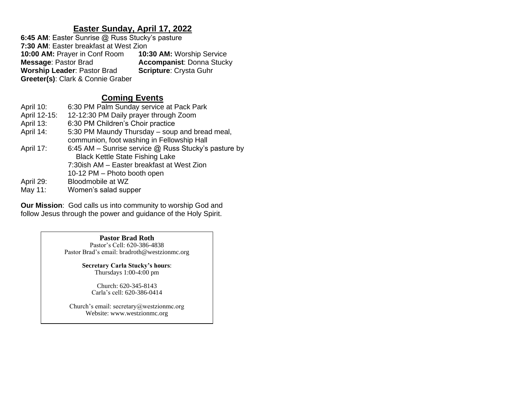# **Easter Sunday, April 17, 2022**

**6:45 AM**: Easter Sunrise @ Russ Stucky's pasture **7:30 AM: Easter breakfast at West Zion<br><b>10:00 AM:** Prayer in Conf Room **10:30 AM:** Worship Service **10:00 AM: Prayer in Conf Room Message: Pastor Brad Accompanist: Donna Stucky<br><b>Scripture:** Crysta Guhr **Worship Leader: Pastor Brad Greeter(s)**: Clark & Connie Graber

# **Coming Events**

| April 10:    | 6:30 PM Palm Sunday service at Pack Park               |
|--------------|--------------------------------------------------------|
| April 12-15: | 12-12:30 PM Daily prayer through Zoom                  |
| April 13:    | 6:30 PM Children's Choir practice                      |
| April 14:    | 5:30 PM Maundy Thursday – soup and bread meal,         |
|              | communion, foot washing in Fellowship Hall             |
| April 17:    | 6:45 AM – Sunrise service $@$ Russ Stucky's pasture by |
|              | <b>Black Kettle State Fishing Lake</b>                 |
|              | 7:30ish AM - Easter breakfast at West Zion             |
|              | 10-12 PM - Photo booth open                            |
| April 29:    | Bloodmobile at WZ                                      |
| May 11:      | Women's salad supper                                   |

**Our Mission**: God calls us into community to worship God and follow Jesus through the power and guidance of the Holy Spirit.

#### **Pastor Brad Roth**

Pastor's Cell: 620-386-4838 Pastor Brad's email: bradroth@westzionmc.org

> **Secretary Carla Stucky's hours**: Thursdays 1:00-4:00 pm

> > Church: 620-345-8143 Carla's cell: 620-386-0414

Church's email: secretary@westzionmc.org Website: www.westzionmc.org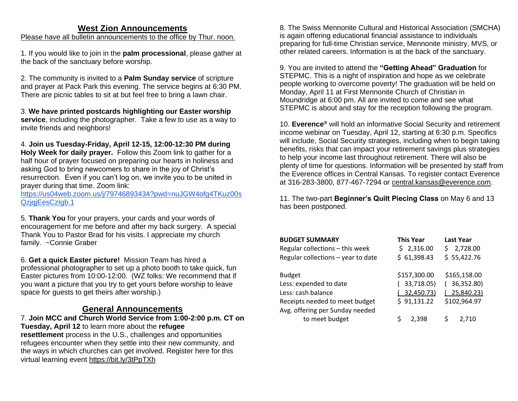# **West Zion Announcements**

Please have all bulletin announcements to the office by Thur. noon.

1. If you would like to join in the **palm processional**, please gather at the back of the sanctuary before worship.

2. The community is invited to a **Palm Sunday service** of scripture and prayer at Pack Park this evening. The service begins at 6:30 PM. There are picnic tables to sit at but feel free to bring a lawn chair.

3. **We have printed postcards highlighting our Easter worship service**, including the photographer. Take a few to use as a way to invite friends and neighbors!

4. **Join us Tuesday-Friday, April 12-15, 12:00-12:30 PM during Holy Week for daily prayer.** Follow this Zoom link to gather for a half hour of prayer focused on preparing our hearts in holiness and asking God to bring newcomers to share in the joy of Christ's resurrection. Even if you can't log on, we invite you to be united in prayer during that time. Zoom link:

[https://us04web.zoom.us/j/79746893434?pwd=nuJGW4ofg4TKuz00s](https://us04web.zoom.us/j/79746893434?pwd=nuJGW4ofg4TKuz00sQzjqjEesCzIgb.1) [QzjqjEesCzIgb.1](https://us04web.zoom.us/j/79746893434?pwd=nuJGW4ofg4TKuz00sQzjqjEesCzIgb.1)

5. **Thank You** for your prayers, your cards and your words of encouragement for me before and after my back surgery. A special Thank You to Pastor Brad for his visits. I appreciate my church family. ~Connie Graber

6. **Get a quick Easter picture!** Mission Team has hired a professional photographer to set up a photo booth to take quick, fun Easter pictures from 10:00-12:00. (WZ folks: We recommend that if you want a picture that you try to get yours before worship to leave space for guests to get theirs after worship.)

# **General Announcements**

7. **Join MCC and Church World Service from 1:00-2:00 p.m. CT on Tuesday, April 12** to learn more about the **refugee resettlement** process in the U.S., challenges and opportunities refugees encounter when they settle into their new community, and the ways in which churches can get involved. Register here for this virtual learning event [https://bit.ly/3tPpTXh](https://can01.safelinks.protection.outlook.com/?url=https%3A%2F%2Fbit.ly%2F3tPpTXh&data=04%7C01%7CTinaSchrag%40mcc.org%7C2745e2763ed64861783308da0ea9c3f7%7C169838f761344f5b8d1ab2d131856f52%7C0%7C0%7C637838419539142546%7CUnknown%7CTWFpbGZsb3d8eyJWIjoiMC4wLjAwMDAiLCJQIjoiV2luMzIiLCJBTiI6Ik1haWwiLCJXVCI6Mn0%3D%7C3000&sdata=7X7NIyBglIizNqjvTo34EU7hb1ZRCvS1ImMtiXAMD1k%3D&reserved=0)

8. The Swiss Mennonite Cultural and Historical Association (SMCHA) is again offering educational financial assistance to individuals preparing for full-time Christian service, Mennonite ministry, MVS, or other related careers. Information is at the back of the sanctuary.

9. You are invited to attend the **"Getting Ahead" Graduation** for STEPMC. This is a night of inspiration and hope as we celebrate people working to overcome poverty! The graduation will be held on Monday, April 11 at First Mennonite Church of Christian in Moundridge at 6:00 pm. All are invited to come and see what STEPMC is about and stay for the reception following the program.

10. **Everence®** will hold an informative Social Security and retirement income webinar on Tuesday, April 12, starting at 6:30 p.m. Specifics will include, Social Security strategies, including when to begin taking benefits, risks that can impact your retirement savings plus strategies to help your income last throughout retirement. There will also be plenty of time for questions. Information will be presented by staff from the Everence offices in Central Kansas. To register contact Everence at 316-283-3800, 877-467-7294 or [central.kansas@everence.com.](mailto:central.kansas@everence.com)

11. The two-part **Beginner's Quilt Piecing Class** on May 6 and 13 has been postponed.

| <b>BUDGET SUMMARY</b><br>Regular collections - this week<br>Regular collections - year to date  | <b>This Year</b><br>\$2,316.00<br>\$61,398.43            | S. | <b>Last Year</b><br>2,728.00<br>\$55,422.76              |
|-------------------------------------------------------------------------------------------------|----------------------------------------------------------|----|----------------------------------------------------------|
| <b>Budget</b><br>Less: expended to date<br>Less: cash balance<br>Receipts needed to meet budget | \$157,300.00<br>33,718.05)<br>(32,450.73)<br>\$91,131.22 |    | \$165,158.00<br>36,352.80)<br>25,840.23)<br>\$102,964.97 |
| Avg. offering per Sunday needed<br>to meet budget                                               | 2.398                                                    |    | 2.710                                                    |